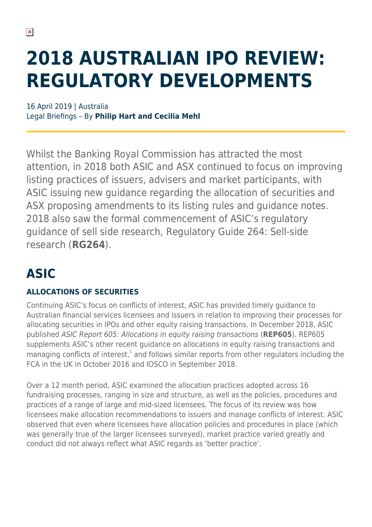# **2018 AUSTRALIAN IPO REVIEW: REGULATORY DEVELOPMENTS**

16 April 2019 | Australia Legal Briefings – By **Philip Hart and Cecilia Mehl**

Whilst the Banking Royal Commission has attracted the most attention, in 2018 both ASIC and ASX continued to focus on improving listing practices of issuers, advisers and market participants, with ASIC issuing new guidance regarding the allocation of securities and ASX proposing amendments to its listing rules and guidance notes. 2018 also saw the formal commencement of ASIC's regulatory guidance of sell side research, Regulatory Guide 264: Sell-side research (**RG264**).

# **ASIC**

#### **ALLOCATIONS OF SECURITIES**

Continuing ASIC's focus on conflicts of interest, ASIC has provided timely guidance to Australian financial services licensees and issuers in relation to improving their processes for allocating securities in IPOs and other equity raising transactions. In December 2018, ASIC published ASIC Report 605: Allocations in equity raising transactions (**REP605**). REP605 supplements ASIC's other recent guidance on allocations in equity raising transactions and managing conflicts of interest, $1$  and follows similar reports from other regulators including the FCA in the UK in October 2016 and IOSCO in September 2018.

Over a 12 month period, ASIC examined the allocation practices adopted across 16 fundraising processes, ranging in size and structure, as well as the policies, procedures and practices of a range of large and mid-sized licensees. The focus of its review was how licensees make allocation recommendations to issuers and manage conflicts of interest. ASIC observed that even where licensees have allocation policies and procedures in place (which was generally true of the larger licensees surveyed), market practice varied greatly and conduct did not always reflect what ASIC regards as 'better practice'.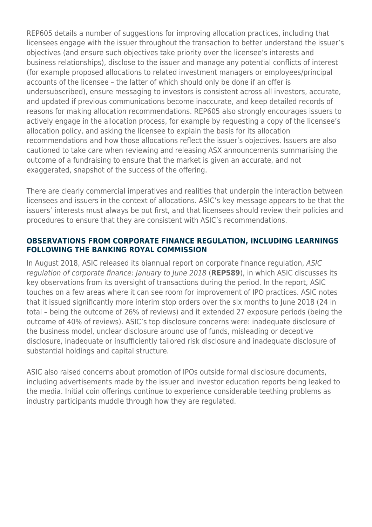REP605 details a number of suggestions for improving allocation practices, including that licensees engage with the issuer throughout the transaction to better understand the issuer's objectives (and ensure such objectives take priority over the licensee's interests and business relationships), disclose to the issuer and manage any potential conflicts of interest (for example proposed allocations to related investment managers or employees/principal accounts of the licensee – the latter of which should only be done if an offer is undersubscribed), ensure messaging to investors is consistent across all investors, accurate, and updated if previous communications become inaccurate, and keep detailed records of reasons for making allocation recommendations. REP605 also strongly encourages issuers to actively engage in the allocation process, for example by requesting a copy of the licensee's allocation policy, and asking the licensee to explain the basis for its allocation recommendations and how those allocations reflect the issuer's objectives. Issuers are also cautioned to take care when reviewing and releasing ASX announcements summarising the outcome of a fundraising to ensure that the market is given an accurate, and not exaggerated, snapshot of the success of the offering.

There are clearly commercial imperatives and realities that underpin the interaction between licensees and issuers in the context of allocations. ASIC's key message appears to be that the issuers' interests must always be put first, and that licensees should review their policies and procedures to ensure that they are consistent with ASIC's recommendations.

#### **OBSERVATIONS FROM CORPORATE FINANCE REGULATION, INCLUDING LEARNINGS FOLLOWING THE BANKING ROYAL COMMISSION**

In August 2018, ASIC released its biannual report on corporate finance regulation, ASIC regulation of corporate finance: January to June 2018 (**REP589**), in which ASIC discusses its key observations from its oversight of transactions during the period. In the report, ASIC touches on a few areas where it can see room for improvement of IPO practices. ASIC notes that it issued significantly more interim stop orders over the six months to June 2018 (24 in total – being the outcome of 26% of reviews) and it extended 27 exposure periods (being the outcome of 40% of reviews). ASIC's top disclosure concerns were: inadequate disclosure of the business model, unclear disclosure around use of funds, misleading or deceptive disclosure, inadequate or insufficiently tailored risk disclosure and inadequate disclosure of substantial holdings and capital structure.

ASIC also raised concerns about promotion of IPOs outside formal disclosure documents, including advertisements made by the issuer and investor education reports being leaked to the media. Initial coin offerings continue to experience considerable teething problems as industry participants muddle through how they are regulated.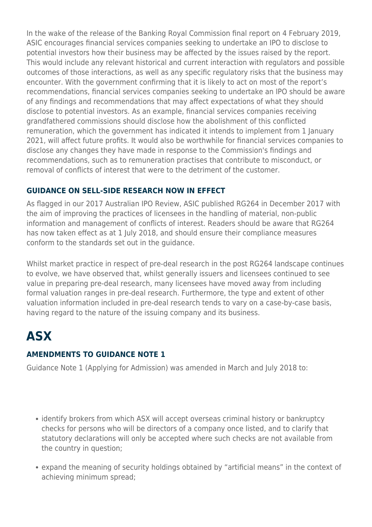In the wake of the release of the Banking Royal Commission final report on 4 February 2019, ASIC encourages financial services companies seeking to undertake an IPO to disclose to potential investors how their business may be affected by the issues raised by the report. This would include any relevant historical and current interaction with regulators and possible outcomes of those interactions, as well as any specific regulatory risks that the business may encounter. With the government confirming that it is likely to act on most of the report's recommendations, financial services companies seeking to undertake an IPO should be aware of any findings and recommendations that may affect expectations of what they should disclose to potential investors. As an example, financial services companies receiving grandfathered commissions should disclose how the abolishment of this conflicted remuneration, which the government has indicated it intends to implement from 1 January 2021, will affect future profits. It would also be worthwhile for financial services companies to disclose any changes they have made in response to the Commission's findings and recommendations, such as to remuneration practises that contribute to misconduct, or removal of conflicts of interest that were to the detriment of the customer.

#### **GUIDANCE ON SELL-SIDE RESEARCH NOW IN EFFECT**

As flagged in our 2017 Australian IPO Review, ASIC published RG264 in December 2017 with the aim of improving the practices of licensees in the handling of material, non-public information and management of conflicts of interest. Readers should be aware that RG264 has now taken effect as at 1 July 2018, and should ensure their compliance measures conform to the standards set out in the guidance.

Whilst market practice in respect of pre-deal research in the post RG264 landscape continues to evolve, we have observed that, whilst generally issuers and licensees continued to see value in preparing pre-deal research, many licensees have moved away from including formal valuation ranges in pre-deal research. Furthermore, the type and extent of other valuation information included in pre-deal research tends to vary on a case-by-case basis, having regard to the nature of the issuing company and its business.

# **ASX**

#### **AMENDMENTS TO GUIDANCE NOTE 1**

Guidance Note 1 (Applying for Admission) was amended in March and July 2018 to:

- identify brokers from which ASX will accept overseas criminal history or bankruptcy checks for persons who will be directors of a company once listed, and to clarify that statutory declarations will only be accepted where such checks are not available from the country in question;
- expand the meaning of security holdings obtained by "artificial means" in the context of achieving minimum spread;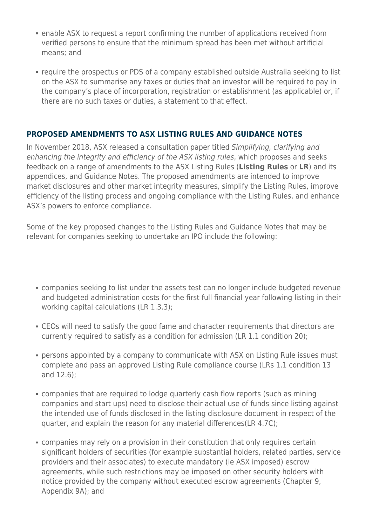- enable ASX to request a report confirming the number of applications received from verified persons to ensure that the minimum spread has been met without artificial means; and
- require the prospectus or PDS of a company established outside Australia seeking to list on the ASX to summarise any taxes or duties that an investor will be required to pay in the company's place of incorporation, registration or establishment (as applicable) or, if there are no such taxes or duties, a statement to that effect.

#### **PROPOSED AMENDMENTS TO ASX LISTING RULES AND GUIDANCE NOTES**

In November 2018, ASX released a consultation paper titled Simplifying, clarifying and enhancing the integrity and efficiency of the ASX listing rules, which proposes and seeks feedback on a range of amendments to the ASX Listing Rules (**Listing Rules** or **LR**) and its appendices, and Guidance Notes. The proposed amendments are intended to improve market disclosures and other market integrity measures, simplify the Listing Rules, improve efficiency of the listing process and ongoing compliance with the Listing Rules, and enhance ASX's powers to enforce compliance.

Some of the key proposed changes to the Listing Rules and Guidance Notes that may be relevant for companies seeking to undertake an IPO include the following:

- companies seeking to list under the assets test can no longer include budgeted revenue and budgeted administration costs for the first full financial year following listing in their working capital calculations (LR 1.3.3);
- CEOs will need to satisfy the good fame and character requirements that directors are currently required to satisfy as a condition for admission (LR 1.1 condition 20);
- persons appointed by a company to communicate with ASX on Listing Rule issues must complete and pass an approved Listing Rule compliance course (LRs 1.1 condition 13 and 12.6);
- companies that are required to lodge quarterly cash flow reports (such as mining companies and start ups) need to disclose their actual use of funds since listing against the intended use of funds disclosed in the listing disclosure document in respect of the quarter, and explain the reason for any material differences(LR 4.7C);
- companies may rely on a provision in their constitution that only requires certain significant holders of securities (for example substantial holders, related parties, service providers and their associates) to execute mandatory (ie ASX imposed) escrow agreements, while such restrictions may be imposed on other security holders with notice provided by the company without executed escrow agreements (Chapter 9, Appendix 9A); and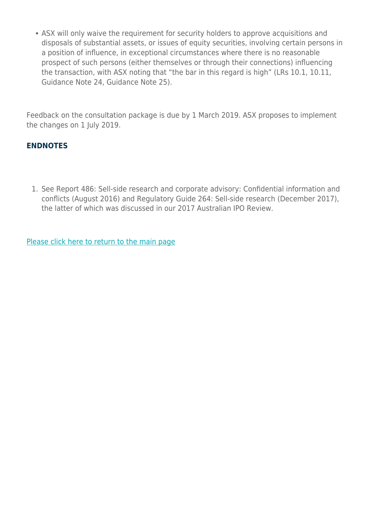• ASX will only waive the requirement for security holders to approve acquisitions and disposals of substantial assets, or issues of equity securities, involving certain persons in a position of influence, in exceptional circumstances where there is no reasonable prospect of such persons (either themselves or through their connections) influencing the transaction, with ASX noting that "the bar in this regard is high" (LRs 10.1, 10.11, Guidance Note 24, Guidance Note 25).

Feedback on the consultation package is due by 1 March 2019. ASX proposes to implement the changes on 1 July 2019.

#### **ENDNOTES**

1. See Report 486: Sell-side research and corporate advisory: Confidential information and conflicts (August 2016) and Regulatory Guide 264: Sell-side research (December 2017), the latter of which was discussed in our 2017 Australian IPO Review.

[Please click here to return to the main page](https://www.herbertsmithfreehills.com/latest-thinking/ready-for-launch-the-2018-australian-ipo-review)